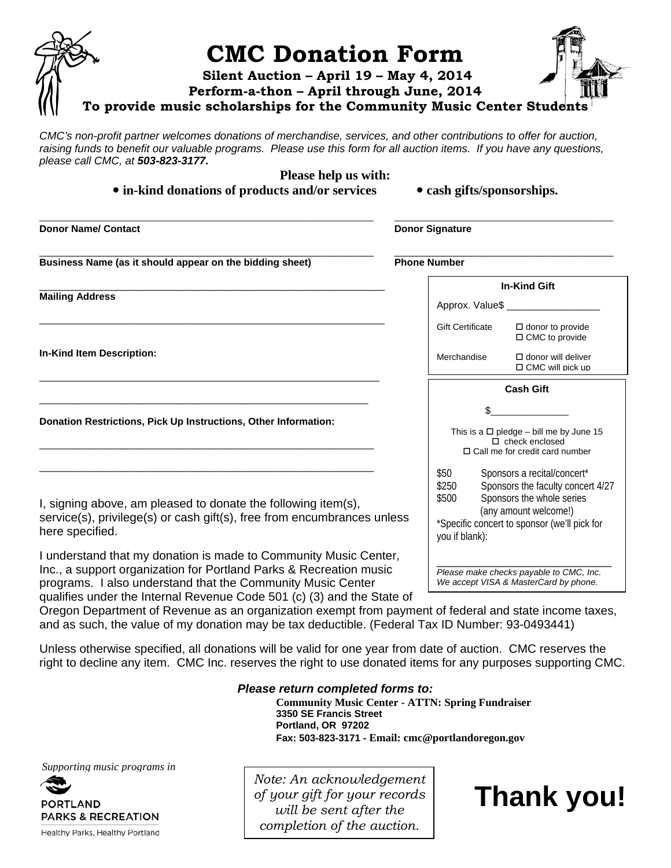

*CMC's non-profit partner welcomes donations of merchandise, services, and other contributions to offer for auction, raising funds to benefit our valuable programs. Please use this form for all auction items. If you have any questions, please call CMC, at 503-823-3177.* 

**Please help us with:**

• in-kind donations of products and/or services

|  |  |  | · cash gifts/sponsorships |  |
|--|--|--|---------------------------|--|
|--|--|--|---------------------------|--|

| <b>Donor Name/ Contact</b>                                                                                                                                                                                                                                                                                                                                                        | <b>Donor Signature</b>                                                                                         |  |
|-----------------------------------------------------------------------------------------------------------------------------------------------------------------------------------------------------------------------------------------------------------------------------------------------------------------------------------------------------------------------------------|----------------------------------------------------------------------------------------------------------------|--|
| Business Name (as it should appear on the bidding sheet)                                                                                                                                                                                                                                                                                                                          | <b>Phone Number</b>                                                                                            |  |
| <b>Mailing Address</b>                                                                                                                                                                                                                                                                                                                                                            | <b>In-Kind Gift</b><br>Approx. Value\$                                                                         |  |
|                                                                                                                                                                                                                                                                                                                                                                                   | <b>Gift Certificate</b><br>$\Box$ donor to provide<br>$\Box$ CMC to provide                                    |  |
| <b>In-Kind Item Description:</b>                                                                                                                                                                                                                                                                                                                                                  | Merchandise<br>$\Box$ donor will deliver<br>$\Box$ CMC will pick up                                            |  |
|                                                                                                                                                                                                                                                                                                                                                                                   | <b>Cash Gift</b>                                                                                               |  |
| Donation Restrictions, Pick Up Instructions, Other Information:                                                                                                                                                                                                                                                                                                                   | This is a $\Box$ pledge - bill me by June 15<br>$\Box$ check enclosed<br>$\Box$ Call me for credit card number |  |
| \$50<br>Sponsors a recital/concert*<br>Sponsors the faculty concert 4/27<br>\$250<br>Sponsors the whole series<br>\$500<br>I, signing above, am pleased to donate the following item(s),<br>(any amount welcome!)<br>service(s), privilege(s) or cash gift(s), free from encumbrances unless<br>*Specific concert to sponsor (we'll pick for<br>here specified.<br>you if blank): |                                                                                                                |  |
| I understand that my donation is made to Community Music Center,<br>Inc., a support organization for Portland Parks & Recreation music<br>programs. I also understand that the Community Music Center                                                                                                                                                                             | Please make checks payable to CMC, Inc.<br>We accept VISA & MasterCard by phone.                               |  |

qualifies under the Internal Revenue Code 501 (c) (3) and the State of Oregon Department of Revenue as an organization exempt from payment of federal and state income taxes, and as such, the value of my donation may be tax deductible. (Federal Tax ID Number: 93-0493441)

Unless otherwise specified, all donations will be valid for one year from date of auction. CMC reserves the right to decline any item. CMC Inc. reserves the right to use donated items for any purposes supporting CMC.

### *Please return completed forms to:*

**Community Music Center - ATTN: Spring Fundraiser 3350 SE Francis Street Portland, OR 97202 Fax: 503-823-3171 - Email: cmc@portlandoregon.gov**

*Supporting music programs in* 



Healthy Parks, Healthy Portland

*Note: An acknowledgement of your gift for your records will be sent after the completion of the auction.* 

**Thank you!**